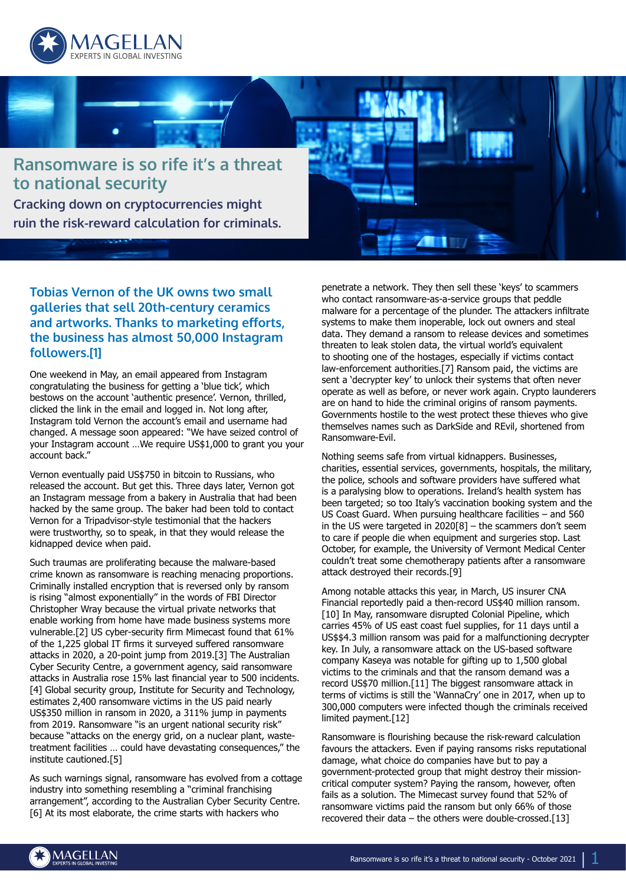



**Tobias Vernon of the UK owns two small galleries that sell 20th-century ceramics and artworks. Thanks to marketing efforts, the business has almost 50,000 Instagram followers.[1]**

One weekend in May, an email appeared from Instagram congratulating the business for getting a 'blue tick', which bestows on the account 'authentic presence'. Vernon, thrilled, clicked the link in the email and logged in. Not long after, Instagram told Vernon the account's email and username had changed. A message soon appeared: "We have seized control of your Instagram account …We require US\$1,000 to grant you your account back."

Vernon eventually paid US\$750 in bitcoin to Russians, who released the account. But get this. Three days later, Vernon got an Instagram message from a bakery in Australia that had been hacked by the same group. The baker had been told to contact Vernon for a Tripadvisor-style testimonial that the hackers were trustworthy, so to speak, in that they would release the kidnapped device when paid.

Such traumas are proliferating because the malware-based crime known as ransomware is reaching menacing proportions. Criminally installed encryption that is reversed only by ransom is rising "almost exponentially" in the words of FBI Director Christopher Wray because the virtual private networks that enable working from home have made business systems more vulnerable.[2] US cyber-security firm Mimecast found that 61% of the 1,225 global IT firms it surveyed suffered ransomware attacks in 2020, a 20-point jump from 2019.[3] The Australian Cyber Security Centre, a government agency, said ransomware attacks in Australia rose 15% last financial year to 500 incidents. [4] Global security group, Institute for Security and Technology, estimates 2,400 ransomware victims in the US paid nearly US\$350 million in ransom in 2020, a 311% jump in payments from 2019. Ransomware "is an urgent national security risk" because "attacks on the energy grid, on a nuclear plant, wastetreatment facilities … could have devastating consequences," the institute cautioned.[5]

As such warnings signal, ransomware has evolved from a cottage industry into something resembling a "criminal franchising arrangement", according to the Australian Cyber Security Centre. [6] At its most elaborate, the crime starts with hackers who

penetrate a network. They then sell these 'keys' to scammers who contact ransomware-as-a-service groups that peddle malware for a percentage of the plunder. The attackers infiltrate systems to make them inoperable, lock out owners and steal data. They demand a ransom to release devices and sometimes threaten to leak stolen data, the virtual world's equivalent to shooting one of the hostages, especially if victims contact law-enforcement authorities.[7] Ransom paid, the victims are sent a 'decrypter key' to unlock their systems that often never operate as well as before, or never work again. Crypto launderers are on hand to hide the criminal origins of ransom payments. Governments hostile to the west protect these thieves who give themselves names such as DarkSide and REvil, shortened from Ransomware-Evil.

Nothing seems safe from virtual kidnappers. Businesses, charities, essential services, governments, hospitals, the military, the police, schools and software providers have suffered what is a paralysing blow to operations. Ireland's health system has been targeted; so too Italy's vaccination booking system and the US Coast Guard. When pursuing healthcare facilities – and 560 in the US were targeted in 2020[8] – the scammers don't seem to care if people die when equipment and surgeries stop. Last October, for example, the University of Vermont Medical Center couldn't treat some chemotherapy patients after a ransomware attack destroyed their records.[9]

Among notable attacks this year, in March, US insurer CNA Financial reportedly paid a then-record US\$40 million ransom. [10] In May, ransomware disrupted Colonial Pipeline, which carries 45% of US east coast fuel supplies, for 11 days until a US\$\$4.3 million ransom was paid for a malfunctioning decrypter key. In July, a ransomware attack on the US-based software company Kaseya was notable for gifting up to 1,500 global victims to the criminals and that the ransom demand was a record US\$70 million.[11] The biggest ransomware attack in terms of victims is still the 'WannaCry' one in 2017, when up to 300,000 computers were infected though the criminals received limited payment.[12]

Ransomware is flourishing because the risk-reward calculation favours the attackers. Even if paying ransoms risks reputational damage, what choice do companies have but to pay a government-protected group that might destroy their missioncritical computer system? Paying the ransom, however, often fails as a solution. The Mimecast survey found that 52% of ransomware victims paid the ransom but only 66% of those recovered their data – the others were double-crossed.[13]

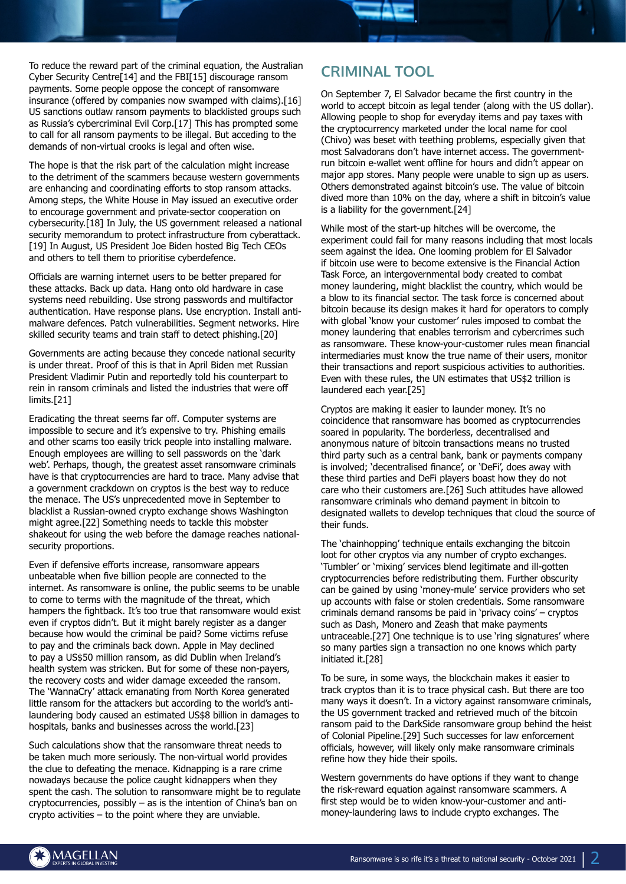To reduce the reward part of the criminal equation, the Australian Cyber Security Centre[14] and the FBI[15] discourage ransom payments. Some people oppose the concept of ransomware insurance (offered by companies now swamped with claims).[16] US sanctions outlaw ransom payments to blacklisted groups such as Russia's cybercriminal Evil Corp.[17] This has prompted some to call for all ransom payments to be illegal. But acceding to the demands of non-virtual crooks is legal and often wise.

The hope is that the risk part of the calculation might increase to the detriment of the scammers because western governments are enhancing and coordinating efforts to stop ransom attacks. Among steps, the White House in May issued an executive order to encourage government and private-sector cooperation on cybersecurity.[18] In July, the US government released a national security memorandum to protect infrastructure from cyberattack. [19] In August, US President Joe Biden hosted Big Tech CEOs and others to tell them to prioritise cyberdefence.

Officials are warning internet users to be better prepared for these attacks. Back up data. Hang onto old hardware in case systems need rebuilding. Use strong passwords and multifactor authentication. Have response plans. Use encryption. Install antimalware defences. Patch vulnerabilities. Segment networks. Hire skilled security teams and train staff to detect phishing.[20]

Governments are acting because they concede national security is under threat. Proof of this is that in April Biden met Russian President Vladimir Putin and reportedly told his counterpart to rein in ransom criminals and listed the industries that were off limits.[21]

Eradicating the threat seems far off. Computer systems are impossible to secure and it's expensive to try. Phishing emails and other scams too easily trick people into installing malware. Enough employees are willing to sell passwords on the 'dark web'. Perhaps, though, the greatest asset ransomware criminals have is that cryptocurrencies are hard to trace. Many advise that a government crackdown on cryptos is the best way to reduce the menace. The US's unprecedented move in September to blacklist a Russian-owned crypto exchange shows Washington might agree.[22] Something needs to tackle this mobster shakeout for using the web before the damage reaches nationalsecurity proportions.

Even if defensive efforts increase, ransomware appears unbeatable when five billion people are connected to the internet. As ransomware is online, the public seems to be unable to come to terms with the magnitude of the threat, which hampers the fightback. It's too true that ransomware would exist even if cryptos didn't. But it might barely register as a danger because how would the criminal be paid? Some victims refuse to pay and the criminals back down. Apple in May declined to pay a US\$50 million ransom, as did Dublin when Ireland's health system was stricken. But for some of these non-payers, the recovery costs and wider damage exceeded the ransom. The 'WannaCry' attack emanating from North Korea generated little ransom for the attackers but according to the world's antilaundering body caused an estimated US\$8 billion in damages to hospitals, banks and businesses across the world.[23]

Such calculations show that the ransomware threat needs to be taken much more seriously. The non-virtual world provides the clue to defeating the menace. Kidnapping is a rare crime nowadays because the police caught kidnappers when they spent the cash. The solution to ransomware might be to regulate cryptocurrencies, possibly – as is the intention of China's ban on crypto activities – to the point where they are unviable.

## **CRIMINAL TOOL**

On September 7, El Salvador became the first country in the world to accept bitcoin as legal tender (along with the US dollar). Allowing people to shop for everyday items and pay taxes with the cryptocurrency marketed under the local name for cool (Chivo) was beset with teething problems, especially given that most Salvadorans don't have internet access. The governmentrun bitcoin e-wallet went offline for hours and didn't appear on major app stores. Many people were unable to sign up as users. Others demonstrated against bitcoin's use. The value of bitcoin dived more than 10% on the day, where a shift in bitcoin's value is a liability for the government.[24]

While most of the start-up hitches will be overcome, the experiment could fail for many reasons including that most locals seem against the idea. One looming problem for El Salvador if bitcoin use were to become extensive is the Financial Action Task Force, an intergovernmental body created to combat money laundering, might blacklist the country, which would be a blow to its financial sector. The task force is concerned about bitcoin because its design makes it hard for operators to comply with global 'know your customer' rules imposed to combat the money laundering that enables terrorism and cybercrimes such as ransomware. These know-your-customer rules mean financial intermediaries must know the true name of their users, monitor their transactions and report suspicious activities to authorities. Even with these rules, the UN estimates that US\$2 trillion is laundered each year.[25]

Cryptos are making it easier to launder money. It's no coincidence that ransomware has boomed as cryptocurrencies soared in popularity. The borderless, decentralised and anonymous nature of bitcoin transactions means no trusted third party such as a central bank, bank or payments company is involved; 'decentralised finance', or 'DeFi', does away with these third parties and DeFi players boast how they do not care who their customers are.[26] Such attitudes have allowed ransomware criminals who demand payment in bitcoin to designated wallets to develop techniques that cloud the source of their funds.

The 'chainhopping' technique entails exchanging the bitcoin loot for other cryptos via any number of crypto exchanges. 'Tumbler' or 'mixing' services blend legitimate and ill-gotten cryptocurrencies before redistributing them. Further obscurity can be gained by using 'money-mule' service providers who set up accounts with false or stolen credentials. Some ransomware criminals demand ransoms be paid in 'privacy coins' – cryptos such as Dash, Monero and Zeash that make payments untraceable.[27] One technique is to use 'ring signatures' where so many parties sign a transaction no one knows which party initiated it.[28]

To be sure, in some ways, the blockchain makes it easier to track cryptos than it is to trace physical cash. But there are too many ways it doesn't. In a victory against ransomware criminals, the US government tracked and retrieved much of the bitcoin ransom paid to the DarkSide ransomware group behind the heist of Colonial Pipeline.[29] Such successes for law enforcement officials, however, will likely only make ransomware criminals refine how they hide their spoils.

Western governments do have options if they want to change the risk-reward equation against ransomware scammers. A first step would be to widen know-your-customer and antimoney-laundering laws to include crypto exchanges. The